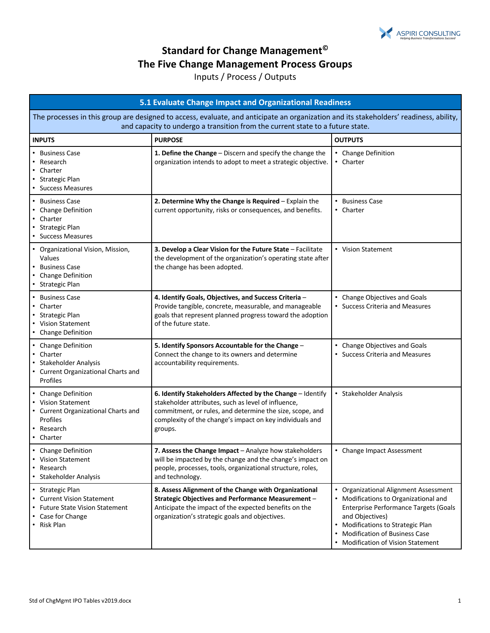

## **Standard for Change Management© The Five Change Management Process Groups**

## Inputs / Process / Outputs

| 5.1 Evaluate Change Impact and Organizational Readiness                                                                                                                                                                  |                                                                                                                                                                                                                                                      |                                                                                                                                                                                                                                                               |
|--------------------------------------------------------------------------------------------------------------------------------------------------------------------------------------------------------------------------|------------------------------------------------------------------------------------------------------------------------------------------------------------------------------------------------------------------------------------------------------|---------------------------------------------------------------------------------------------------------------------------------------------------------------------------------------------------------------------------------------------------------------|
| The processes in this group are designed to access, evaluate, and anticipate an organization and its stakeholders' readiness, ability,<br>and capacity to undergo a transition from the current state to a future state. |                                                                                                                                                                                                                                                      |                                                                                                                                                                                                                                                               |
| <b>INPUTS</b>                                                                                                                                                                                                            | <b>PURPOSE</b>                                                                                                                                                                                                                                       | <b>OUTPUTS</b>                                                                                                                                                                                                                                                |
| <b>Business Case</b><br>Research<br>Charter<br>Strategic Plan<br>• Success Measures                                                                                                                                      | 1. Define the Change - Discern and specify the change the<br>organization intends to adopt to meet a strategic objective.                                                                                                                            | • Change Definition<br>• Charter                                                                                                                                                                                                                              |
| <b>Business Case</b><br>• Change Definition<br>• Charter<br>Strategic Plan<br>• Success Measures                                                                                                                         | 2. Determine Why the Change is Required - Explain the<br>current opportunity, risks or consequences, and benefits.                                                                                                                                   | • Business Case<br>• Charter                                                                                                                                                                                                                                  |
| • Organizational Vision, Mission,<br>Values<br><b>Business Case</b><br><b>Change Definition</b><br>• Strategic Plan                                                                                                      | 3. Develop a Clear Vision for the Future State - Facilitate<br>the development of the organization's operating state after<br>the change has been adopted.                                                                                           | • Vision Statement                                                                                                                                                                                                                                            |
| <b>Business Case</b><br>Charter<br>• Strategic Plan<br>• Vision Statement<br>• Change Definition                                                                                                                         | 4. Identify Goals, Objectives, and Success Criteria-<br>Provide tangible, concrete, measurable, and manageable<br>goals that represent planned progress toward the adoption<br>of the future state.                                                  | • Change Objectives and Goals<br>• Success Criteria and Measures                                                                                                                                                                                              |
| • Change Definition<br>• Charter<br>Stakeholder Analysis<br>• Current Organizational Charts and<br>Profiles                                                                                                              | 5. Identify Sponsors Accountable for the Change -<br>Connect the change to its owners and determine<br>accountability requirements.                                                                                                                  | • Change Objectives and Goals<br>• Success Criteria and Measures                                                                                                                                                                                              |
| <b>Change Definition</b><br><b>Vision Statement</b><br>• Current Organizational Charts and<br>Profiles<br>Research<br>• Charter                                                                                          | 6. Identify Stakeholders Affected by the Change - Identify<br>stakeholder attributes, such as level of influence,<br>commitment, or rules, and determine the size, scope, and<br>complexity of the change's impact on key individuals and<br>groups. | • Stakeholder Analysis                                                                                                                                                                                                                                        |
| • Change Definition<br><b>Vision Statement</b><br>Research<br>Stakeholder Analysis                                                                                                                                       | 7. Assess the Change Impact - Analyze how stakeholders<br>will be impacted by the change and the change's impact on<br>people, processes, tools, organizational structure, roles,<br>and technology.                                                 | • Change Impact Assessment                                                                                                                                                                                                                                    |
| <b>Strategic Plan</b><br>• Current Vision Statement<br><b>Future State Vision Statement</b><br>Case for Change<br>• Risk Plan                                                                                            | 8. Assess Alignment of the Change with Organizational<br>Strategic Objectives and Performance Measurement -<br>Anticipate the impact of the expected benefits on the<br>organization's strategic goals and objectives.                               | • Organizational Alignment Assessment<br>• Modifications to Organizational and<br>Enterprise Performance Targets (Goals<br>and Objectives)<br>• Modifications to Strategic Plan<br><b>Modification of Business Case</b><br>• Modification of Vision Statement |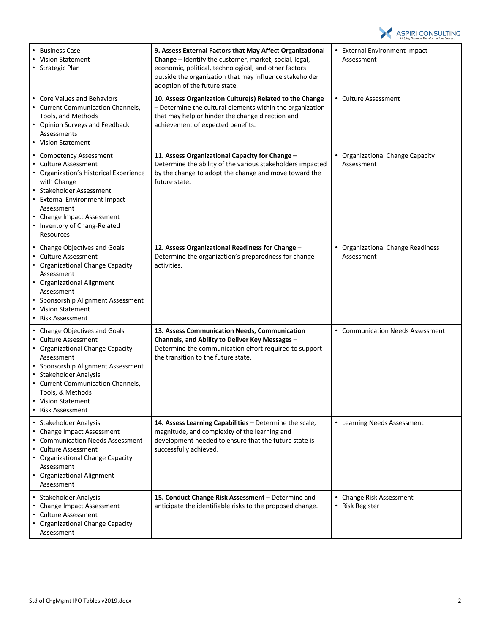

| <b>Business Case</b><br>$\bullet$<br><b>Vision Statement</b><br>• Strategic Plan                                                                                                                                                                                             | 9. Assess External Factors that May Affect Organizational<br>Change - Identify the customer, market, social, legal,<br>economic, political, technological, and other factors<br>outside the organization that may influence stakeholder<br>adoption of the future state. | • External Environment Impact<br>Assessment            |
|------------------------------------------------------------------------------------------------------------------------------------------------------------------------------------------------------------------------------------------------------------------------------|--------------------------------------------------------------------------------------------------------------------------------------------------------------------------------------------------------------------------------------------------------------------------|--------------------------------------------------------|
| • Core Values and Behaviors<br>• Current Communication Channels,<br>Tools, and Methods<br>• Opinion Surveys and Feedback<br>Assessments<br>• Vision Statement                                                                                                                | 10. Assess Organization Culture(s) Related to the Change<br>- Determine the cultural elements within the organization<br>that may help or hinder the change direction and<br>achievement of expected benefits.                                                           | • Culture Assessment                                   |
| • Competency Assessment<br><b>Culture Assessment</b><br>• Organization's Historical Experience<br>with Change<br>Stakeholder Assessment<br><b>External Environment Impact</b><br>Assessment<br>• Change Impact Assessment<br>• Inventory of Chang-Related<br>Resources       | 11. Assess Organizational Capacity for Change -<br>Determine the ability of the various stakeholders impacted<br>by the change to adopt the change and move toward the<br>future state.                                                                                  | • Organizational Change Capacity<br>Assessment         |
| • Change Objectives and Goals<br>• Culture Assessment<br>• Organizational Change Capacity<br>Assessment<br>• Organizational Alignment<br>Assessment<br>Sponsorship Alignment Assessment<br>• Vision Statement<br>• Risk Assessment                                           | 12. Assess Organizational Readiness for Change -<br>Determine the organization's preparedness for change<br>activities.                                                                                                                                                  | • Organizational Change Readiness<br>Assessment        |
| • Change Objectives and Goals<br>Culture Assessment<br>• Organizational Change Capacity<br>Assessment<br>• Sponsorship Alignment Assessment<br>Stakeholder Analysis<br>• Current Communication Channels,<br>Tools, & Methods<br>• Vision Statement<br><b>Risk Assessment</b> | 13. Assess Communication Needs, Communication<br>Channels, and Ability to Deliver Key Messages -<br>Determine the communication effort required to support<br>the transition to the future state.                                                                        | • Communication Needs Assessment                       |
| • Stakeholder Analysis<br>• Change Impact Assessment<br><b>Communication Needs Assessment</b><br><b>Culture Assessment</b><br>• Organizational Change Capacity<br>Assessment<br>• Organizational Alignment<br>Assessment                                                     | 14. Assess Learning Capabilities - Determine the scale,<br>magnitude, and complexity of the learning and<br>development needed to ensure that the future state is<br>successfully achieved.                                                                              | • Learning Needs Assessment                            |
| Stakeholder Analysis<br><b>Change Impact Assessment</b><br>• Culture Assessment<br>• Organizational Change Capacity<br>Assessment                                                                                                                                            | 15. Conduct Change Risk Assessment - Determine and<br>anticipate the identifiable risks to the proposed change.                                                                                                                                                          | • Change Risk Assessment<br>$\bullet$<br>Risk Register |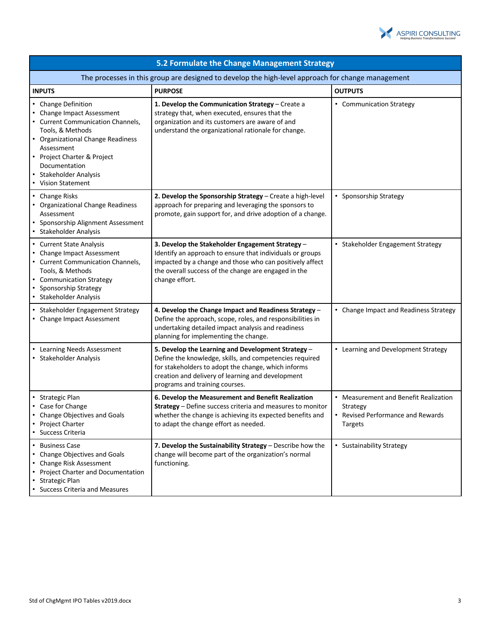

| 5.2 Formulate the Change Management Strategy                                                                                                                                                                                                                  |                                                                                                                                                                                                                                                             |                                                                                                          |  |
|---------------------------------------------------------------------------------------------------------------------------------------------------------------------------------------------------------------------------------------------------------------|-------------------------------------------------------------------------------------------------------------------------------------------------------------------------------------------------------------------------------------------------------------|----------------------------------------------------------------------------------------------------------|--|
| The processes in this group are designed to develop the high-level approach for change management                                                                                                                                                             |                                                                                                                                                                                                                                                             |                                                                                                          |  |
| <b>INPUTS</b>                                                                                                                                                                                                                                                 | <b>PURPOSE</b>                                                                                                                                                                                                                                              | <b>OUTPUTS</b>                                                                                           |  |
| • Change Definition<br>• Change Impact Assessment<br>• Current Communication Channels,<br>Tools, & Methods<br>• Organizational Change Readiness<br>Assessment<br>• Project Charter & Project<br>Documentation<br>• Stakeholder Analysis<br>• Vision Statement | 1. Develop the Communication Strategy - Create a<br>strategy that, when executed, ensures that the<br>organization and its customers are aware of and<br>understand the organizational rationale for change.                                                | • Communication Strategy                                                                                 |  |
| • Change Risks<br>• Organizational Change Readiness<br>Assessment<br>• Sponsorship Alignment Assessment<br>• Stakeholder Analysis                                                                                                                             | 2. Develop the Sponsorship Strategy - Create a high-level<br>approach for preparing and leveraging the sponsors to<br>promote, gain support for, and drive adoption of a change.                                                                            | • Sponsorship Strategy                                                                                   |  |
| • Current State Analysis<br>• Change Impact Assessment<br>• Current Communication Channels,<br>Tools, & Methods<br>• Communication Strategy<br>Sponsorship Strategy<br>• Stakeholder Analysis                                                                 | 3. Develop the Stakeholder Engagement Strategy -<br>Identify an approach to ensure that individuals or groups<br>impacted by a change and those who can positively affect<br>the overall success of the change are engaged in the<br>change effort.         | • Stakeholder Engagement Strategy                                                                        |  |
| • Stakeholder Engagement Strategy<br>• Change Impact Assessment                                                                                                                                                                                               | 4. Develop the Change Impact and Readiness Strategy -<br>Define the approach, scope, roles, and responsibilities in<br>undertaking detailed impact analysis and readiness<br>planning for implementing the change.                                          | • Change Impact and Readiness Strategy                                                                   |  |
| • Learning Needs Assessment<br>• Stakeholder Analysis                                                                                                                                                                                                         | 5. Develop the Learning and Development Strategy -<br>Define the knowledge, skills, and competencies required<br>for stakeholders to adopt the change, which informs<br>creation and delivery of learning and development<br>programs and training courses. | • Learning and Development Strategy                                                                      |  |
| • Strategic Plan<br>• Case for Change<br>• Change Objectives and Goals<br>• Project Charter<br>• Success Criteria                                                                                                                                             | 6. Develop the Measurement and Benefit Realization<br>Strategy - Define success criteria and measures to monitor<br>whether the change is achieving its expected benefits and<br>to adapt the change effort as needed.                                      | • Measurement and Benefit Realization<br>Strategy<br>• Revised Performance and Rewards<br><b>Targets</b> |  |
| • Business Case<br>• Change Objectives and Goals<br>• Change Risk Assessment<br>• Project Charter and Documentation<br>• Strategic Plan<br><b>Success Criteria and Measures</b>                                                                               | 7. Develop the Sustainability Strategy - Describe how the<br>change will become part of the organization's normal<br>functioning.                                                                                                                           | • Sustainability Strategy                                                                                |  |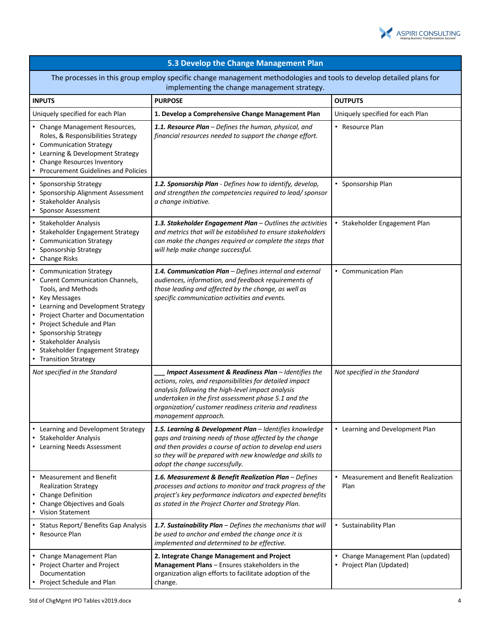

| 5.3 Develop the Change Management Plan                                                                                                                                                                                                                                                                                       |                                                                                                                                                                                                                                                                                                                |                                                                |
|------------------------------------------------------------------------------------------------------------------------------------------------------------------------------------------------------------------------------------------------------------------------------------------------------------------------------|----------------------------------------------------------------------------------------------------------------------------------------------------------------------------------------------------------------------------------------------------------------------------------------------------------------|----------------------------------------------------------------|
| The processes in this group employ specific change management methodologies and tools to develop detailed plans for<br>implementing the change management strategy.                                                                                                                                                          |                                                                                                                                                                                                                                                                                                                |                                                                |
| <b>INPUTS</b>                                                                                                                                                                                                                                                                                                                | <b>PURPOSE</b>                                                                                                                                                                                                                                                                                                 | <b>OUTPUTS</b>                                                 |
| Uniquely specified for each Plan                                                                                                                                                                                                                                                                                             | 1. Develop a Comprehensive Change Management Plan                                                                                                                                                                                                                                                              | Uniquely specified for each Plan                               |
| • Change Management Resources,<br>Roles, & Responsibilities Strategy<br>• Communication Strategy<br>Learning & Development Strategy<br>Change Resources Inventory<br><b>Procurement Guidelines and Policies</b>                                                                                                              | 1.1. Resource Plan - Defines the human, physical, and<br>financial resources needed to support the change effort.                                                                                                                                                                                              | • Resource Plan                                                |
| Sponsorship Strategy<br>Sponsorship Alignment Assessment<br>Stakeholder Analysis<br><b>Sponsor Assessment</b>                                                                                                                                                                                                                | 1.2. Sponsorship Plan - Defines how to identify, develop,<br>and strengthen the competencies required to lead/sponsor<br>a change initiative.                                                                                                                                                                  | • Sponsorship Plan                                             |
| • Stakeholder Analysis<br>Stakeholder Engagement Strategy<br>• Communication Strategy<br>Sponsorship Strategy<br>• Change Risks                                                                                                                                                                                              | 1.3. Stakeholder Engagement Plan - Outlines the activities<br>and metrics that will be established to ensure stakeholders<br>can make the changes required or complete the steps that<br>will help make change successful.                                                                                     | • Stakeholder Engagement Plan                                  |
| <b>Communication Strategy</b><br>• Curent Communication Channels,<br>Tools, and Methods<br>Key Messages<br>• Learning and Development Strategy<br>Project Charter and Documentation<br>Project Schedule and Plan<br>Sponsorship Strategy<br>Stakeholder Analysis<br>Stakeholder Engagement Strategy<br>• Transition Strategy | 1.4. Communication Plan - Defines internal and external<br>audiences, information, and feedback requirements of<br>those leading and affected by the change, as well as<br>specific communication activities and events.                                                                                       | • Communication Plan                                           |
| Not specified in the Standard                                                                                                                                                                                                                                                                                                | Impact Assessment & Readiness Plan - Identifies the<br>actions, roles, and responsibilities for detailed impact<br>analysis following the high-level impact analysis<br>undertaken in the first assessment phase 5.1 and the<br>organization/customer readiness criteria and readiness<br>management approach. | Not specified in the Standard                                  |
| • Learning and Development Strategy<br>• Stakeholder Analysis<br>• Learning Needs Assessment                                                                                                                                                                                                                                 | 1.5. Learning & Development Plan - Identifies knowledge<br>gaps and training needs of those affected by the change<br>and then provides a course of action to develop end users<br>so they will be prepared with new knowledge and skills to<br>adopt the change successfully.                                 | • Learning and Development Plan                                |
| • Measurement and Benefit<br><b>Realization Strategy</b><br>• Change Definition<br>Change Objectives and Goals<br>• Vision Statement                                                                                                                                                                                         | 1.6. Measurement & Benefit Realization Plan - Defines<br>processes and actions to monitor and track progress of the<br>project's key performance indicators and expected benefits<br>as stated in the Project Charter and Strategy Plan.                                                                       | • Measurement and Benefit Realization<br>Plan                  |
| • Status Report/ Benefits Gap Analysis<br>• Resource Plan                                                                                                                                                                                                                                                                    | 1.7. Sustainability Plan - Defines the mechanisms that will<br>be used to anchor and embed the change once it is<br>implemented and determined to be effective.                                                                                                                                                | • Sustainability Plan                                          |
| Change Management Plan<br>• Project Charter and Project<br>Documentation<br>Project Schedule and Plan                                                                                                                                                                                                                        | 2. Integrate Change Management and Project<br>Management Plans - Ensures stakeholders in the<br>organization align efforts to facilitate adoption of the<br>change.                                                                                                                                            | • Change Management Plan (updated)<br>• Project Plan (Updated) |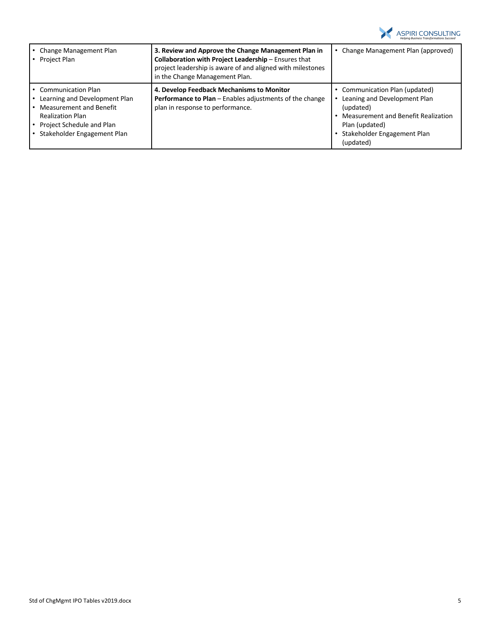

| Change Management Plan<br>Project Plan                                                                                                                                       | 3. Review and Approve the Change Management Plan in<br>Collaboration with Project Leadership - Ensures that<br>project leadership is aware of and aligned with milestones<br>in the Change Management Plan. | Change Management Plan (approved)                                                                                                                                              |
|------------------------------------------------------------------------------------------------------------------------------------------------------------------------------|-------------------------------------------------------------------------------------------------------------------------------------------------------------------------------------------------------------|--------------------------------------------------------------------------------------------------------------------------------------------------------------------------------|
| <b>Communication Plan</b><br>Learning and Development Plan<br>Measurement and Benefit<br><b>Realization Plan</b><br>Project Schedule and Plan<br>Stakeholder Engagement Plan | 4. Develop Feedback Mechanisms to Monitor<br>Performance to Plan - Enables adjustments of the change<br>plan in response to performance.                                                                    | Communication Plan (updated)<br>Leaning and Development Plan<br>(updated)<br>Measurement and Benefit Realization<br>Plan (updated)<br>Stakeholder Engagement Plan<br>(updated) |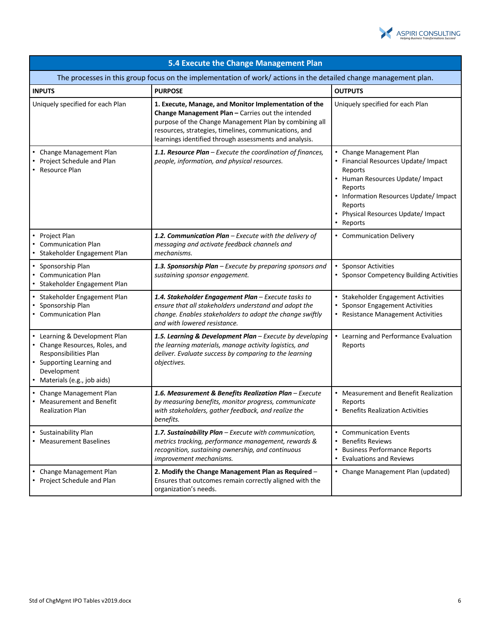

| 5.4 Execute the Change Management Plan<br>The processes in this group focus on the implementation of work/ actions in the detailed change management plan.         |                                                                                                                                                                                                                                                                                         |                                                                                                                                                                                                                                     |
|--------------------------------------------------------------------------------------------------------------------------------------------------------------------|-----------------------------------------------------------------------------------------------------------------------------------------------------------------------------------------------------------------------------------------------------------------------------------------|-------------------------------------------------------------------------------------------------------------------------------------------------------------------------------------------------------------------------------------|
|                                                                                                                                                                    |                                                                                                                                                                                                                                                                                         |                                                                                                                                                                                                                                     |
| Uniquely specified for each Plan                                                                                                                                   | 1. Execute, Manage, and Monitor Implementation of the<br>Change Management Plan - Carries out the intended<br>purpose of the Change Management Plan by combining all<br>resources, strategies, timelines, communications, and<br>learnings identified through assessments and analysis. | Uniquely specified for each Plan                                                                                                                                                                                                    |
| Change Management Plan<br>Project Schedule and Plan<br>• Resource Plan                                                                                             | 1.1. Resource Plan - Execute the coordination of finances,<br>people, information, and physical resources.                                                                                                                                                                              | • Change Management Plan<br>• Financial Resources Update/ Impact<br>Reports<br>• Human Resources Update/ Impact<br>Reports<br>• Information Resources Update/ Impact<br>Reports<br>• Physical Resources Update/ Impact<br>• Reports |
| Project Plan<br><b>Communication Plan</b><br>Stakeholder Engagement Plan                                                                                           | 1.2. Communication Plan - Execute with the delivery of<br>messaging and activate feedback channels and<br>mechanisms.                                                                                                                                                                   | • Communication Delivery                                                                                                                                                                                                            |
| Sponsorship Plan<br><b>Communication Plan</b><br>Stakeholder Engagement Plan                                                                                       | 1.3. Sponsorship Plan - Execute by preparing sponsors and<br>sustaining sponsor engagement.                                                                                                                                                                                             | • Sponsor Activities<br>• Sponsor Competency Building Activities                                                                                                                                                                    |
| Stakeholder Engagement Plan<br>Sponsorship Plan<br>• Communication Plan                                                                                            | 1.4. Stakeholder Engagement Plan - Execute tasks to<br>ensure that all stakeholders understand and adopt the<br>change. Enables stakeholders to adopt the change swiftly<br>and with lowered resistance.                                                                                | • Stakeholder Engagement Activities<br><b>Sponsor Engagement Activities</b><br>• Resistance Management Activities                                                                                                                   |
| • Learning & Development Plan<br>• Change Resources, Roles, and<br>Responsibilities Plan<br>• Supporting Learning and<br>Development<br>Materials (e.g., job aids) | 1.5. Learning & Development Plan - Execute by developing<br>the learning materials, manage activity logistics, and<br>deliver. Evaluate success by comparing to the learning<br>objectives.                                                                                             | • Learning and Performance Evaluation<br>Reports                                                                                                                                                                                    |
| Change Management Plan<br><b>Measurement and Benefit</b><br><b>Realization Plan</b>                                                                                | 1.6. Measurement & Benefits Realization Plan - Execute<br>by measuring benefits, monitor progress, communicate<br>with stakeholders, gather feedback, and realize the<br>benefits.                                                                                                      | • Measurement and Benefit Realization<br>Reports<br>• Benefits Realization Activities                                                                                                                                               |
| Sustainability Plan<br>• Measurement Baselines                                                                                                                     | 1.7. Sustainability Plan - Execute with communication,<br>metrics tracking, performance management, rewards &<br>recognition, sustaining ownership, and continuous<br>improvement mechanisms.                                                                                           | • Communication Events<br>• Benefits Reviews<br>• Business Performance Reports<br>• Evaluations and Reviews                                                                                                                         |
| Change Management Plan<br>• Project Schedule and Plan                                                                                                              | 2. Modify the Change Management Plan as Required -<br>Ensures that outcomes remain correctly aligned with the<br>organization's needs.                                                                                                                                                  | • Change Management Plan (updated)                                                                                                                                                                                                  |